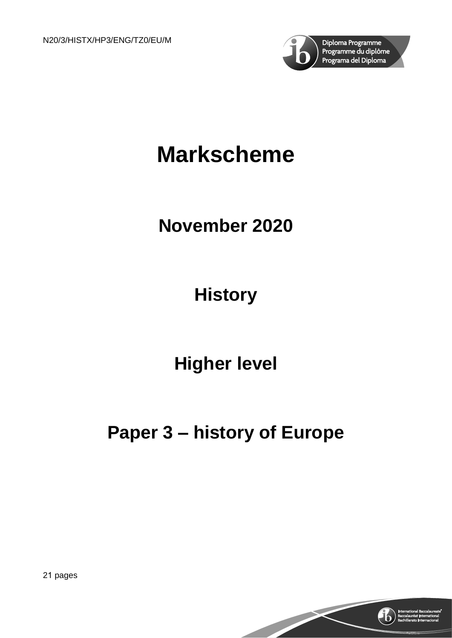

# **Markscheme**

## **November 2020**

## **History**

## **Higher level**

## **Paper 3 – history of Europe**

21 pages

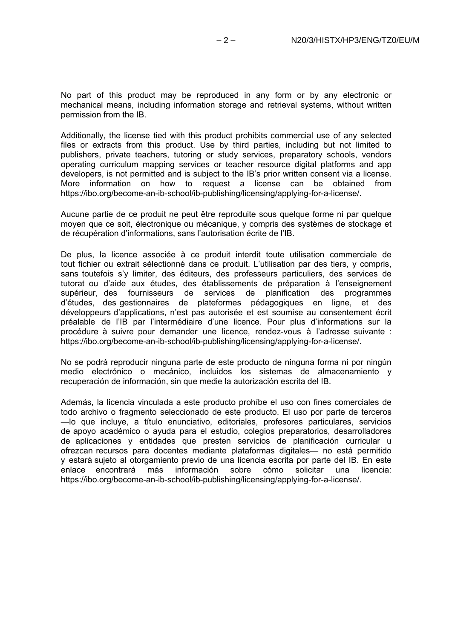No part of this product may be reproduced in any form or by any electronic or mechanical means, including information storage and retrieval systems, without written permission from the IB.

Additionally, the license tied with this product prohibits commercial use of any selected files or extracts from this product. Use by third parties, including but not limited to publishers, private teachers, tutoring or study services, preparatory schools, vendors operating curriculum mapping services or teacher resource digital platforms and app developers, is not permitted and is subject to the IB's prior written consent via a license. More information on how to request a license can be obtained from https://ibo.org/become-an-ib-school/ib-publishing/licensing/applying-for-a-license/.

Aucune partie de ce produit ne peut être reproduite sous quelque forme ni par quelque moyen que ce soit, électronique ou mécanique, y compris des systèmes de stockage et de récupération d'informations, sans l'autorisation écrite de l'IB.

De plus, la licence associée à ce produit interdit toute utilisation commerciale de tout fichier ou extrait sélectionné dans ce produit. L'utilisation par des tiers, y compris, sans toutefois s'y limiter, des éditeurs, des professeurs particuliers, des services de tutorat ou d'aide aux études, des établissements de préparation à l'enseignement supérieur, des fournisseurs de services de planification des programmes d'études, des gestionnaires de plateformes pédagogiques en ligne, et des développeurs d'applications, n'est pas autorisée et est soumise au consentement écrit préalable de l'IB par l'intermédiaire d'une licence. Pour plus d'informations sur la procédure à suivre pour demander une licence, rendez-vous à l'adresse suivante : https://ibo.org/become-an-ib-school/ib-publishing/licensing/applying-for-a-license/.

No se podrá reproducir ninguna parte de este producto de ninguna forma ni por ningún medio electrónico o mecánico, incluidos los sistemas de almacenamiento y recuperación de información, sin que medie la autorización escrita del IB.

Además, la licencia vinculada a este producto prohíbe el uso con fines comerciales de todo archivo o fragmento seleccionado de este producto. El uso por parte de terceros —lo que incluye, a título enunciativo, editoriales, profesores particulares, servicios de apoyo académico o ayuda para el estudio, colegios preparatorios, desarrolladores de aplicaciones y entidades que presten servicios de planificación curricular u ofrezcan recursos para docentes mediante plataformas digitales— no está permitido y estará sujeto al otorgamiento previo de una licencia escrita por parte del IB. En este<br>enlace encontrará más información sobre cómo solicitar una licencia: enlace encontrará más https://ibo.org/become-an-ib-school/ib-publishing/licensing/applying-for-a-license/.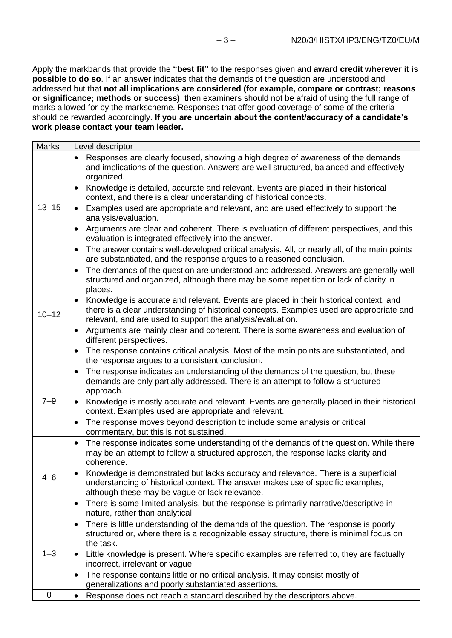Apply the markbands that provide the **"best fit"** to the responses given and **award credit wherever it is possible to do so**. If an answer indicates that the demands of the question are understood and addressed but that **not all implications are considered (for example, compare or contrast; reasons or significance; methods or success)**, then examiners should not be afraid of using the full range of marks allowed for by the markscheme. Responses that offer good coverage of some of the criteria should be rewarded accordingly. **If you are uncertain about the content/accuracy of a candidate's work please contact your team leader.**

| <b>Marks</b> | Level descriptor                                                                                                                                                                                                                                 |
|--------------|--------------------------------------------------------------------------------------------------------------------------------------------------------------------------------------------------------------------------------------------------|
|              | Responses are clearly focused, showing a high degree of awareness of the demands<br>and implications of the question. Answers are well structured, balanced and effectively<br>organized.                                                        |
|              | Knowledge is detailed, accurate and relevant. Events are placed in their historical<br>context, and there is a clear understanding of historical concepts.                                                                                       |
| $13 - 15$    | Examples used are appropriate and relevant, and are used effectively to support the<br>analysis/evaluation.                                                                                                                                      |
|              | Arguments are clear and coherent. There is evaluation of different perspectives, and this<br>evaluation is integrated effectively into the answer.                                                                                               |
|              | The answer contains well-developed critical analysis. All, or nearly all, of the main points<br>are substantiated, and the response argues to a reasoned conclusion.                                                                             |
|              | The demands of the question are understood and addressed. Answers are generally well<br>$\bullet$<br>structured and organized, although there may be some repetition or lack of clarity in<br>places.                                            |
| $10 - 12$    | Knowledge is accurate and relevant. Events are placed in their historical context, and<br>there is a clear understanding of historical concepts. Examples used are appropriate and<br>relevant, and are used to support the analysis/evaluation. |
|              | Arguments are mainly clear and coherent. There is some awareness and evaluation of<br>different perspectives.                                                                                                                                    |
|              | The response contains critical analysis. Most of the main points are substantiated, and<br>the response argues to a consistent conclusion.                                                                                                       |
|              | The response indicates an understanding of the demands of the question, but these<br>$\bullet$<br>demands are only partially addressed. There is an attempt to follow a structured<br>approach.                                                  |
| $7 - 9$      | Knowledge is mostly accurate and relevant. Events are generally placed in their historical<br>context. Examples used are appropriate and relevant.                                                                                               |
|              | The response moves beyond description to include some analysis or critical<br>commentary, but this is not sustained.                                                                                                                             |
|              | The response indicates some understanding of the demands of the question. While there<br>$\bullet$<br>may be an attempt to follow a structured approach, the response lacks clarity and<br>coherence.                                            |
| 4–6          | Knowledge is demonstrated but lacks accuracy and relevance. There is a superficial<br>understanding of historical context. The answer makes use of specific examples,<br>although these may be vague or lack relevance.                          |
|              | There is some limited analysis, but the response is primarily narrative/descriptive in<br>$\bullet$<br>nature, rather than analytical.                                                                                                           |
|              | There is little understanding of the demands of the question. The response is poorly<br>$\bullet$<br>structured or, where there is a recognizable essay structure, there is minimal focus on<br>the task.                                        |
| $1 - 3$      | Little knowledge is present. Where specific examples are referred to, they are factually<br>incorrect, irrelevant or vague.                                                                                                                      |
|              | The response contains little or no critical analysis. It may consist mostly of<br>generalizations and poorly substantiated assertions.                                                                                                           |
| 0            | Response does not reach a standard described by the descriptors above.<br>$\bullet$                                                                                                                                                              |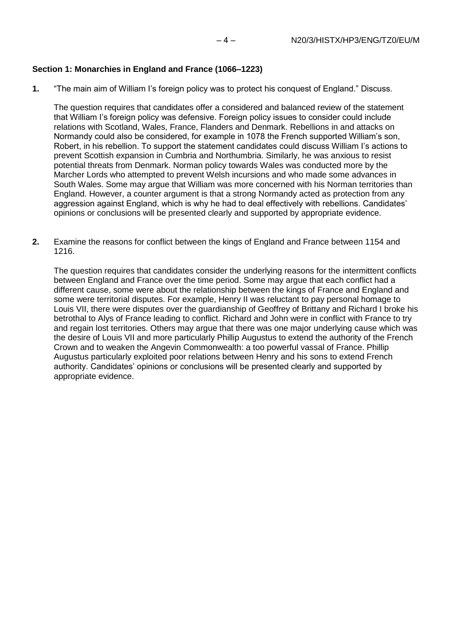## **Section 1: Monarchies in England and France (1066–1223)**

**1.** "The main aim of William I's foreign policy was to protect his conquest of England." Discuss.

The question requires that candidates offer a considered and balanced review of the statement that William I's foreign policy was defensive. Foreign policy issues to consider could include relations with Scotland, Wales, France, Flanders and Denmark. Rebellions in and attacks on Normandy could also be considered, for example in 1078 the French supported William's son, Robert, in his rebellion. To support the statement candidates could discuss William I's actions to prevent Scottish expansion in Cumbria and Northumbria. Similarly, he was anxious to resist potential threats from Denmark. Norman policy towards Wales was conducted more by the Marcher Lords who attempted to prevent Welsh incursions and who made some advances in South Wales. Some may argue that William was more concerned with his Norman territories than England. However, a counter argument is that a strong Normandy acted as protection from any aggression against England, which is why he had to deal effectively with rebellions. Candidates' opinions or conclusions will be presented clearly and supported by appropriate evidence.

**2.** Examine the reasons for conflict between the kings of England and France between 1154 and 1216.

The question requires that candidates consider the underlying reasons for the intermittent conflicts between England and France over the time period. Some may argue that each conflict had a different cause, some were about the relationship between the kings of France and England and some were territorial disputes. For example, Henry II was reluctant to pay personal homage to Louis VII, there were disputes over the guardianship of Geoffrey of Brittany and Richard I broke his betrothal to Alys of France leading to conflict. Richard and John were in conflict with France to try and regain lost territories. Others may argue that there was one major underlying cause which was the desire of Louis VII and more particularly Phillip Augustus to extend the authority of the French Crown and to weaken the Angevin Commonwealth: a too powerful vassal of France. Phillip Augustus particularly exploited poor relations between Henry and his sons to extend French authority. Candidates' opinions or conclusions will be presented clearly and supported by appropriate evidence.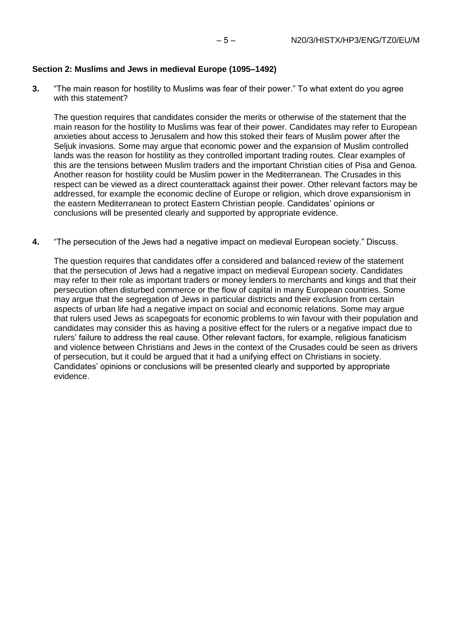## **Section 2: Muslims and Jews in medieval Europe (1095–1492)**

**3.** "The main reason for hostility to Muslims was fear of their power." To what extent do you agree with this statement?

The question requires that candidates consider the merits or otherwise of the statement that the main reason for the hostility to Muslims was fear of their power. Candidates may refer to European anxieties about access to Jerusalem and how this stoked their fears of Muslim power after the Seljuk invasions. Some may argue that economic power and the expansion of Muslim controlled lands was the reason for hostility as they controlled important trading routes. Clear examples of this are the tensions between Muslim traders and the important Christian cities of Pisa and Genoa. Another reason for hostility could be Muslim power in the Mediterranean. The Crusades in this respect can be viewed as a direct counterattack against their power. Other relevant factors may be addressed, for example the economic decline of Europe or religion, which drove expansionism in the eastern Mediterranean to protect Eastern Christian people. Candidates' opinions or conclusions will be presented clearly and supported by appropriate evidence.

**4.** "The persecution of the Jews had a negative impact on medieval European society." Discuss.

The question requires that candidates offer a considered and balanced review of the statement that the persecution of Jews had a negative impact on medieval European society. Candidates may refer to their role as important traders or money lenders to merchants and kings and that their persecution often disturbed commerce or the flow of capital in many European countries. Some may argue that the segregation of Jews in particular districts and their exclusion from certain aspects of urban life had a negative impact on social and economic relations. Some may argue that rulers used Jews as scapegoats for economic problems to win favour with their population and candidates may consider this as having a positive effect for the rulers or a negative impact due to rulers' failure to address the real cause. Other relevant factors, for example, religious fanaticism and violence between Christians and Jews in the context of the Crusades could be seen as drivers of persecution, but it could be argued that it had a unifying effect on Christians in society. Candidates' opinions or conclusions will be presented clearly and supported by appropriate evidence.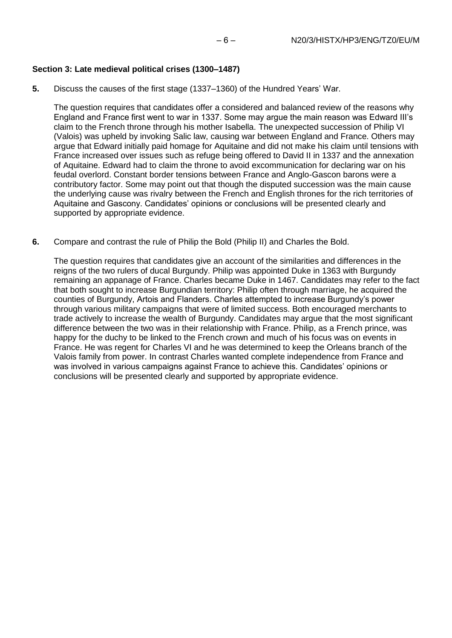#### **Section 3: Late medieval political crises (1300–1487)**

**5.** Discuss the causes of the first stage (1337–1360) of the Hundred Years' War.

The question requires that candidates offer a considered and balanced review of the reasons why England and France first went to war in 1337. Some may argue the main reason was Edward III's claim to the French throne through his mother Isabella. The unexpected succession of Philip VI (Valois) was upheld by invoking Salic law, causing war between England and France. Others may argue that Edward initially paid homage for Aquitaine and did not make his claim until tensions with France increased over issues such as refuge being offered to David II in 1337 and the annexation of Aquitaine. Edward had to claim the throne to avoid excommunication for declaring war on his feudal overlord. Constant border tensions between France and Anglo-Gascon barons were a contributory factor. Some may point out that though the disputed succession was the main cause the underlying cause was rivalry between the French and English thrones for the rich territories of Aquitaine and Gascony. Candidates' opinions or conclusions will be presented clearly and supported by appropriate evidence.

**6.** Compare and contrast the rule of Philip the Bold (Philip II) and Charles the Bold.

The question requires that candidates give an account of the similarities and differences in the reigns of the two rulers of ducal Burgundy. Philip was appointed Duke in 1363 with Burgundy remaining an appanage of France. Charles became Duke in 1467. Candidates may refer to the fact that both sought to increase Burgundian territory: Philip often through marriage, he acquired the counties of Burgundy, Artois and Flanders. Charles attempted to increase Burgundy's power through various military campaigns that were of limited success. Both encouraged merchants to trade actively to increase the wealth of Burgundy. Candidates may argue that the most significant difference between the two was in their relationship with France. Philip, as a French prince, was happy for the duchy to be linked to the French crown and much of his focus was on events in France. He was regent for Charles VI and he was determined to keep the Orleans branch of the Valois family from power. In contrast Charles wanted complete independence from France and was involved in various campaigns against France to achieve this. Candidates' opinions or conclusions will be presented clearly and supported by appropriate evidence.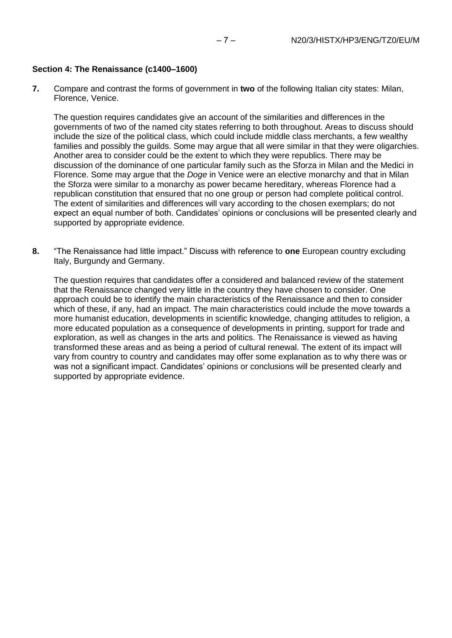### **Section 4: The Renaissance (c1400–1600)**

**7.** Compare and contrast the forms of government in **two** of the following Italian city states: Milan, Florence, Venice.

The question requires candidates give an account of the similarities and differences in the governments of two of the named city states referring to both throughout. Areas to discuss should include the size of the political class, which could include middle class merchants, a few wealthy families and possibly the guilds. Some may argue that all were similar in that they were oligarchies. Another area to consider could be the extent to which they were republics. There may be discussion of the dominance of one particular family such as the Sforza in Milan and the Medici in Florence. Some may argue that the *Doge* in Venice were an elective monarchy and that in Milan the Sforza were similar to a monarchy as power became hereditary, whereas Florence had a republican constitution that ensured that no one group or person had complete political control. The extent of similarities and differences will vary according to the chosen exemplars; do not expect an equal number of both. Candidates' opinions or conclusions will be presented clearly and supported by appropriate evidence.

**8.** "The Renaissance had little impact." Discuss with reference to **one** European country excluding Italy, Burgundy and Germany.

The question requires that candidates offer a considered and balanced review of the statement that the Renaissance changed very little in the country they have chosen to consider. One approach could be to identify the main characteristics of the Renaissance and then to consider which of these, if any, had an impact. The main characteristics could include the move towards a more humanist education, developments in scientific knowledge, changing attitudes to religion, a more educated population as a consequence of developments in printing, support for trade and exploration, as well as changes in the arts and politics. The Renaissance is viewed as having transformed these areas and as being a period of cultural renewal. The extent of its impact will vary from country to country and candidates may offer some explanation as to why there was or was not a significant impact. Candidates' opinions or conclusions will be presented clearly and supported by appropriate evidence.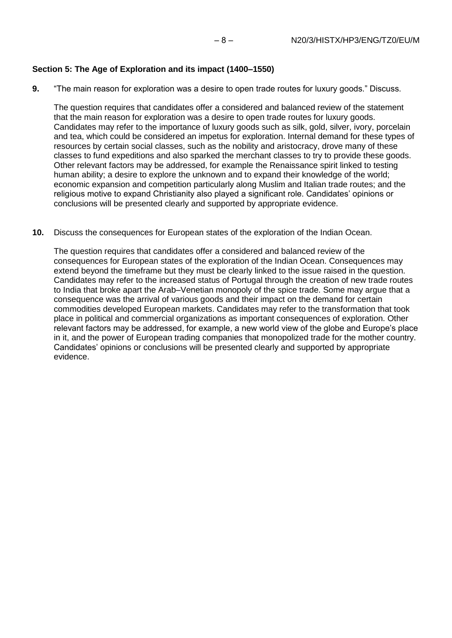## **Section 5: The Age of Exploration and its impact (1400–1550)**

**9.** "The main reason for exploration was a desire to open trade routes for luxury goods." Discuss.

The question requires that candidates offer a considered and balanced review of the statement that the main reason for exploration was a desire to open trade routes for luxury goods. Candidates may refer to the importance of luxury goods such as silk, gold, silver, ivory, porcelain and tea, which could be considered an impetus for exploration. Internal demand for these types of resources by certain social classes, such as the nobility and aristocracy, drove many of these classes to fund expeditions and also sparked the merchant classes to try to provide these goods. Other relevant factors may be addressed, for example the Renaissance spirit linked to testing human ability; a desire to explore the unknown and to expand their knowledge of the world; economic expansion and competition particularly along Muslim and Italian trade routes; and the religious motive to expand Christianity also played a significant role. Candidates' opinions or conclusions will be presented clearly and supported by appropriate evidence.

**10.** Discuss the consequences for European states of the exploration of the Indian Ocean.

The question requires that candidates offer a considered and balanced review of the consequences for European states of the exploration of the Indian Ocean. Consequences may extend beyond the timeframe but they must be clearly linked to the issue raised in the question. Candidates may refer to the increased status of Portugal through the creation of new trade routes to India that broke apart the Arab–Venetian monopoly of the spice trade. Some may argue that a consequence was the arrival of various goods and their impact on the demand for certain commodities developed European markets. Candidates may refer to the transformation that took place in political and commercial organizations as important consequences of exploration. Other relevant factors may be addressed, for example, a new world view of the globe and Europe's place in it, and the power of European trading companies that monopolized trade for the mother country. Candidates' opinions or conclusions will be presented clearly and supported by appropriate evidence.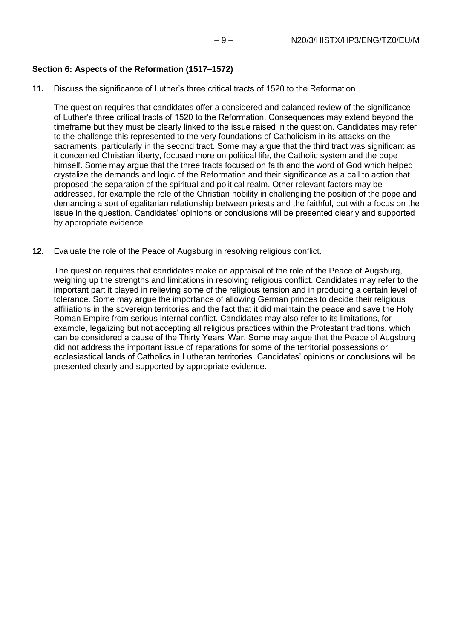## **Section 6: Aspects of the Reformation (1517–1572)**

**11.** Discuss the significance of Luther's three critical tracts of 1520 to the Reformation.

The question requires that candidates offer a considered and balanced review of the significance of Luther's three critical tracts of 1520 to the Reformation. Consequences may extend beyond the timeframe but they must be clearly linked to the issue raised in the question. Candidates may refer to the challenge this represented to the very foundations of Catholicism in its attacks on the sacraments, particularly in the second tract. Some may argue that the third tract was significant as it concerned Christian liberty, focused more on political life, the Catholic system and the pope himself. Some may argue that the three tracts focused on faith and the word of God which helped crystalize the demands and logic of the Reformation and their significance as a call to action that proposed the separation of the spiritual and political realm. Other relevant factors may be addressed, for example the role of the Christian nobility in challenging the position of the pope and demanding a sort of egalitarian relationship between priests and the faithful, but with a focus on the issue in the question. Candidates' opinions or conclusions will be presented clearly and supported by appropriate evidence.

**12.** Evaluate the role of the Peace of Augsburg in resolving religious conflict.

The question requires that candidates make an appraisal of the role of the Peace of Augsburg, weighing up the strengths and limitations in resolving religious conflict. Candidates may refer to the important part it played in relieving some of the religious tension and in producing a certain level of tolerance. Some may argue the importance of allowing German princes to decide their religious affiliations in the sovereign territories and the fact that it did maintain the peace and save the Holy Roman Empire from serious internal conflict. Candidates may also refer to its limitations, for example, legalizing but not accepting all religious practices within the Protestant traditions, which can be considered a cause of the Thirty Years' War. Some may argue that the Peace of Augsburg did not address the important issue of reparations for some of the territorial possessions or ecclesiastical lands of Catholics in Lutheran territories. Candidates' opinions or conclusions will be presented clearly and supported by appropriate evidence.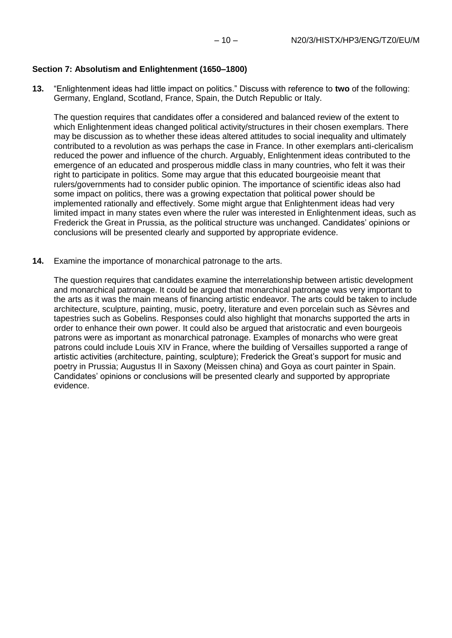## **Section 7: Absolutism and Enlightenment (1650–1800)**

**13.** "Enlightenment ideas had little impact on politics." Discuss with reference to **two** of the following: Germany, England, Scotland, France, Spain, the Dutch Republic or Italy.

The question requires that candidates offer a considered and balanced review of the extent to which Enlightenment ideas changed political activity/structures in their chosen exemplars. There may be discussion as to whether these ideas altered attitudes to social inequality and ultimately contributed to a revolution as was perhaps the case in France. In other exemplars anti-clericalism reduced the power and influence of the church. Arguably, Enlightenment ideas contributed to the emergence of an educated and prosperous middle class in many countries, who felt it was their right to participate in politics. Some may argue that this educated bourgeoisie meant that rulers/governments had to consider public opinion. The importance of scientific ideas also had some impact on politics, there was a growing expectation that political power should be implemented rationally and effectively. Some might argue that Enlightenment ideas had very limited impact in many states even where the ruler was interested in Enlightenment ideas, such as Frederick the Great in Prussia, as the political structure was unchanged. Candidates' opinions or conclusions will be presented clearly and supported by appropriate evidence.

**14.** Examine the importance of monarchical patronage to the arts.

The question requires that candidates examine the interrelationship between artistic development and monarchical patronage. It could be argued that monarchical patronage was very important to the arts as it was the main means of financing artistic endeavor. The arts could be taken to include architecture, sculpture, painting, music, poetry, literature and even porcelain such as Sèvres and tapestries such as Gobelins. Responses could also highlight that monarchs supported the arts in order to enhance their own power. It could also be argued that aristocratic and even bourgeois patrons were as important as monarchical patronage. Examples of monarchs who were great patrons could include Louis XIV in France, where the building of Versailles supported a range of artistic activities (architecture, painting, sculpture); Frederick the Great's support for music and poetry in Prussia; Augustus II in Saxony (Meissen china) and Goya as court painter in Spain. Candidates' opinions or conclusions will be presented clearly and supported by appropriate evidence.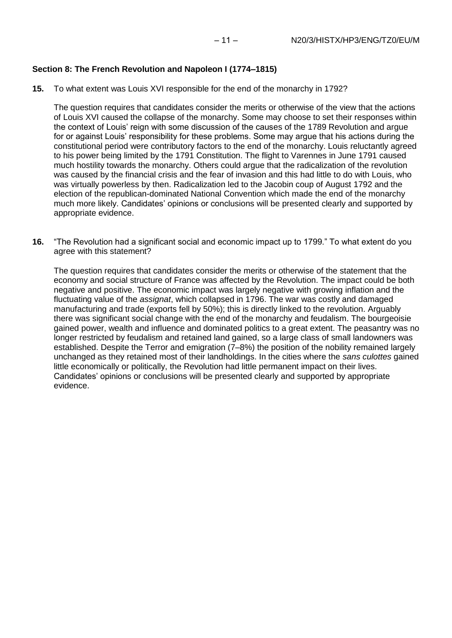#### **Section 8: The French Revolution and Napoleon I (1774–1815)**

**15.** To what extent was Louis XVI responsible for the end of the monarchy in 1792?

The question requires that candidates consider the merits or otherwise of the view that the actions of Louis XVI caused the collapse of the monarchy. Some may choose to set their responses within the context of Louis' reign with some discussion of the causes of the 1789 Revolution and argue for or against Louis' responsibility for these problems. Some may argue that his actions during the constitutional period were contributory factors to the end of the monarchy. Louis reluctantly agreed to his power being limited by the 1791 Constitution. The flight to Varennes in June 1791 caused much hostility towards the monarchy. Others could argue that the radicalization of the revolution was caused by the financial crisis and the fear of invasion and this had little to do with Louis, who was virtually powerless by then. Radicalization led to the Jacobin coup of August 1792 and the election of the republican-dominated National Convention which made the end of the monarchy much more likely. Candidates' opinions or conclusions will be presented clearly and supported by appropriate evidence.

**16.** "The Revolution had a significant social and economic impact up to 1799." To what extent do you agree with this statement?

The question requires that candidates consider the merits or otherwise of the statement that the economy and social structure of France was affected by the Revolution. The impact could be both negative and positive. The economic impact was largely negative with growing inflation and the fluctuating value of the *assignat*, which collapsed in 1796. The war was costly and damaged manufacturing and trade (exports fell by 50%); this is directly linked to the revolution. Arguably there was significant social change with the end of the monarchy and feudalism. The bourgeoisie gained power, wealth and influence and dominated politics to a great extent. The peasantry was no longer restricted by feudalism and retained land gained, so a large class of small landowners was established. Despite the Terror and emigration (7–8%) the position of the nobility remained largely unchanged as they retained most of their landholdings. In the cities where the *sans culottes* gained little economically or politically, the Revolution had little permanent impact on their lives. Candidates' opinions or conclusions will be presented clearly and supported by appropriate evidence.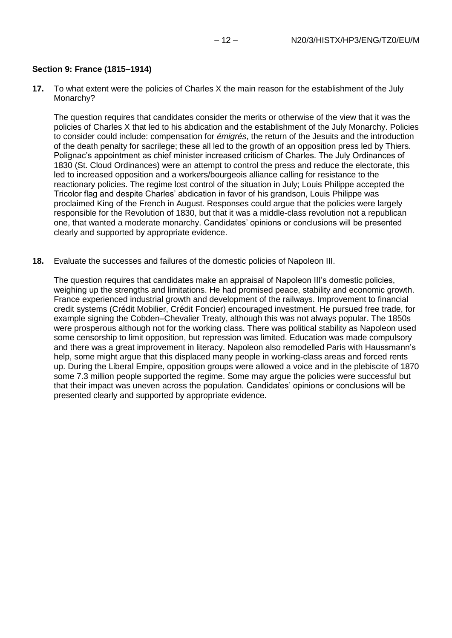### **Section 9: France (1815–1914)**

**17.** To what extent were the policies of Charles X the main reason for the establishment of the July Monarchy?

The question requires that candidates consider the merits or otherwise of the view that it was the policies of Charles X that led to his abdication and the establishment of the July Monarchy. Policies to consider could include: compensation for *émigrés*, the return of the Jesuits and the introduction of the death penalty for sacrilege; these all led to the growth of an opposition press led by Thiers. Polignac's appointment as chief minister increased criticism of Charles. The July Ordinances of 1830 (St. Cloud Ordinances) were an attempt to control the press and reduce the electorate, this led to increased opposition and a workers/bourgeois alliance calling for resistance to the reactionary policies. The regime lost control of the situation in July; Louis Philippe accepted the Tricolor flag and despite Charles' abdication in favor of his grandson, Louis Philippe was proclaimed King of the French in August. Responses could argue that the policies were largely responsible for the Revolution of 1830, but that it was a middle-class revolution not a republican one, that wanted a moderate monarchy. Candidates' opinions or conclusions will be presented clearly and supported by appropriate evidence.

**18.** Evaluate the successes and failures of the domestic policies of Napoleon III.

The question requires that candidates make an appraisal of Napoleon III's domestic policies, weighing up the strengths and limitations. He had promised peace, stability and economic growth. France experienced industrial growth and development of the railways. Improvement to financial credit systems (Crédit Mobilier, Crédit Foncier) encouraged investment. He pursued free trade, for example signing the Cobden–Chevalier Treaty, although this was not always popular. The 1850s were prosperous although not for the working class. There was political stability as Napoleon used some censorship to limit opposition, but repression was limited. Education was made compulsory and there was a great improvement in literacy. Napoleon also remodelled Paris with Haussmann's help, some might argue that this displaced many people in working-class areas and forced rents up. During the Liberal Empire, opposition groups were allowed a voice and in the plebiscite of 1870 some 7.3 million people supported the regime. Some may argue the policies were successful but that their impact was uneven across the population. Candidates' opinions or conclusions will be presented clearly and supported by appropriate evidence.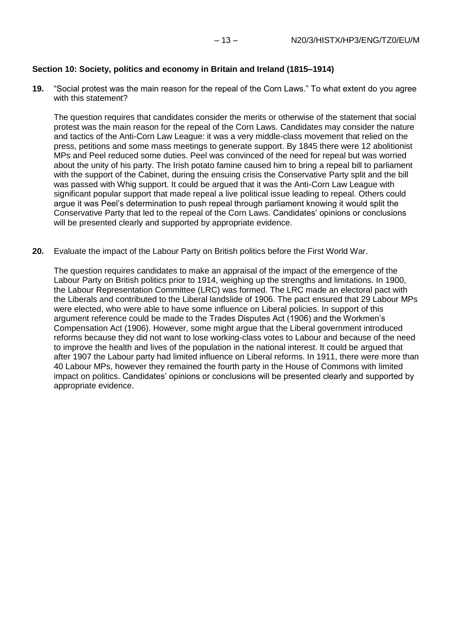#### **Section 10: Society, politics and economy in Britain and Ireland (1815–1914)**

**19.** "Social protest was the main reason for the repeal of the Corn Laws." To what extent do you agree with this statement?

The question requires that candidates consider the merits or otherwise of the statement that social protest was the main reason for the repeal of the Corn Laws. Candidates may consider the nature and tactics of the Anti-Corn Law League: it was a very middle-class movement that relied on the press, petitions and some mass meetings to generate support. By 1845 there were 12 abolitionist MPs and Peel reduced some duties. Peel was convinced of the need for repeal but was worried about the unity of his party. The Irish potato famine caused him to bring a repeal bill to parliament with the support of the Cabinet, during the ensuing crisis the Conservative Party split and the bill was passed with Whig support. It could be argued that it was the Anti-Corn Law League with significant popular support that made repeal a live political issue leading to repeal. Others could argue it was Peel's determination to push repeal through parliament knowing it would split the Conservative Party that led to the repeal of the Corn Laws. Candidates' opinions or conclusions will be presented clearly and supported by appropriate evidence.

**20.** Evaluate the impact of the Labour Party on British politics before the First World War.

The question requires candidates to make an appraisal of the impact of the emergence of the Labour Party on British politics prior to 1914, weighing up the strengths and limitations. In 1900, the Labour Representation Committee (LRC) was formed. The LRC made an electoral pact with the Liberals and contributed to the Liberal landslide of 1906. The pact ensured that 29 Labour MPs were elected, who were able to have some influence on Liberal policies. In support of this argument reference could be made to the Trades Disputes Act (1906) and the Workmen's Compensation Act (1906). However, some might argue that the Liberal government introduced reforms because they did not want to lose working-class votes to Labour and because of the need to improve the health and lives of the population in the national interest. It could be argued that after 1907 the Labour party had limited influence on Liberal reforms. In 1911, there were more than 40 Labour MPs, however they remained the fourth party in the House of Commons with limited impact on politics. Candidates' opinions or conclusions will be presented clearly and supported by appropriate evidence.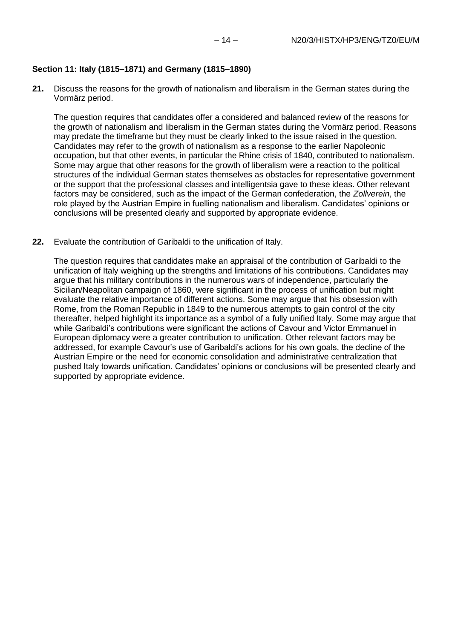## **Section 11: Italy (1815–1871) and Germany (1815–1890)**

**21.** Discuss the reasons for the growth of nationalism and liberalism in the German states during the Vormärz period.

The question requires that candidates offer a considered and balanced review of the reasons for the growth of nationalism and liberalism in the German states during the Vormärz period. Reasons may predate the timeframe but they must be clearly linked to the issue raised in the question. Candidates may refer to the growth of nationalism as a response to the earlier Napoleonic occupation, but that other events, in particular the Rhine crisis of 1840, contributed to nationalism. Some may argue that other reasons for the growth of liberalism were a reaction to the political structures of the individual German states themselves as obstacles for representative government or the support that the professional classes and intelligentsia gave to these ideas. Other relevant factors may be considered, such as the impact of the German confederation, the *Zollverein*, the role played by the Austrian Empire in fuelling nationalism and liberalism. Candidates' opinions or conclusions will be presented clearly and supported by appropriate evidence.

**22.** Evaluate the contribution of Garibaldi to the unification of Italy.

The question requires that candidates make an appraisal of the contribution of Garibaldi to the unification of Italy weighing up the strengths and limitations of his contributions. Candidates may argue that his military contributions in the numerous wars of independence, particularly the Sicilian/Neapolitan campaign of 1860, were significant in the process of unification but might evaluate the relative importance of different actions. Some may argue that his obsession with Rome, from the Roman Republic in 1849 to the numerous attempts to gain control of the city thereafter, helped highlight its importance as a symbol of a fully unified Italy. Some may argue that while Garibaldi's contributions were significant the actions of Cavour and Victor Emmanuel in European diplomacy were a greater contribution to unification. Other relevant factors may be addressed, for example Cavour's use of Garibaldi's actions for his own goals, the decline of the Austrian Empire or the need for economic consolidation and administrative centralization that pushed Italy towards unification. Candidates' opinions or conclusions will be presented clearly and supported by appropriate evidence.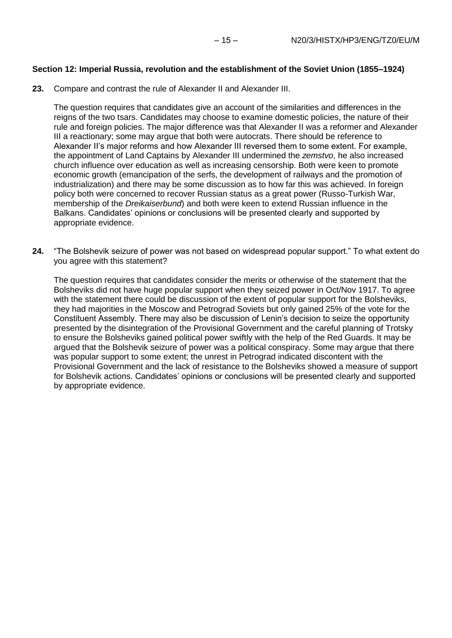## **Section 12: Imperial Russia, revolution and the establishment of the Soviet Union (1855–1924)**

**23.** Compare and contrast the rule of Alexander II and Alexander III.

The question requires that candidates give an account of the similarities and differences in the reigns of the two tsars. Candidates may choose to examine domestic policies, the nature of their rule and foreign policies. The major difference was that Alexander II was a reformer and Alexander III a reactionary; some may argue that both were autocrats. There should be reference to Alexander II's major reforms and how Alexander III reversed them to some extent. For example, the appointment of Land Captains by Alexander III undermined the *zemstvo*, he also increased church influence over education as well as increasing censorship. Both were keen to promote economic growth (emancipation of the serfs, the development of railways and the promotion of industrialization) and there may be some discussion as to how far this was achieved. In foreign policy both were concerned to recover Russian status as a great power (Russo-Turkish War, membership of the *Dreikaiserbund*) and both were keen to extend Russian influence in the Balkans. Candidates' opinions or conclusions will be presented clearly and supported by appropriate evidence.

**24.** "The Bolshevik seizure of power was not based on widespread popular support." To what extent do you agree with this statement?

The question requires that candidates consider the merits or otherwise of the statement that the Bolsheviks did not have huge popular support when they seized power in Oct/Nov 1917. To agree with the statement there could be discussion of the extent of popular support for the Bolsheviks, they had majorities in the Moscow and Petrograd Soviets but only gained 25% of the vote for the Constituent Assembly. There may also be discussion of Lenin's decision to seize the opportunity presented by the disintegration of the Provisional Government and the careful planning of Trotsky to ensure the Bolsheviks gained political power swiftly with the help of the Red Guards. It may be argued that the Bolshevik seizure of power was a political conspiracy. Some may argue that there was popular support to some extent; the unrest in Petrograd indicated discontent with the Provisional Government and the lack of resistance to the Bolsheviks showed a measure of support for Bolshevik actions. Candidates' opinions or conclusions will be presented clearly and supported by appropriate evidence.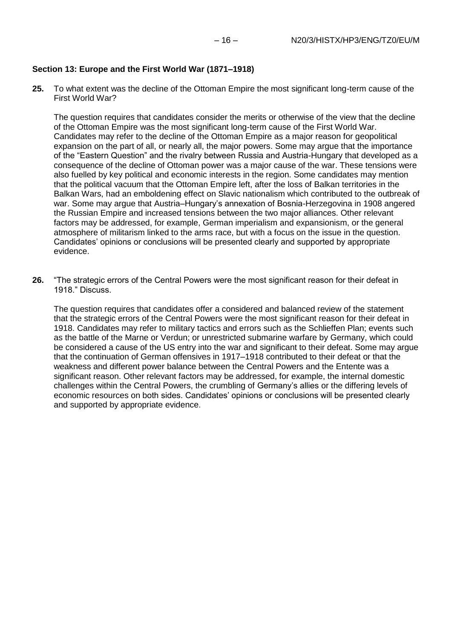## **Section 13: Europe and the First World War (1871–1918)**

**25.** To what extent was the decline of the Ottoman Empire the most significant long-term cause of the First World War?

The question requires that candidates consider the merits or otherwise of the view that the decline of the Ottoman Empire was the most significant long-term cause of the First World War. Candidates may refer to the decline of the Ottoman Empire as a major reason for geopolitical expansion on the part of all, or nearly all, the major powers. Some may argue that the importance of the "Eastern Question" and the rivalry between Russia and Austria-Hungary that developed as a consequence of the decline of Ottoman power was a major cause of the war. These tensions were also fuelled by key political and economic interests in the region. Some candidates may mention that the political vacuum that the Ottoman Empire left, after the loss of Balkan territories in the Balkan Wars, had an emboldening effect on Slavic nationalism which contributed to the outbreak of war. Some may argue that Austria–Hungary's annexation of Bosnia-Herzegovina in 1908 angered the Russian Empire and increased tensions between the two major alliances. Other relevant factors may be addressed, for example, German imperialism and expansionism, or the general atmosphere of militarism linked to the arms race, but with a focus on the issue in the question. Candidates' opinions or conclusions will be presented clearly and supported by appropriate evidence.

**26.** "The strategic errors of the Central Powers were the most significant reason for their defeat in 1918." Discuss.

The question requires that candidates offer a considered and balanced review of the statement that the strategic errors of the Central Powers were the most significant reason for their defeat in 1918. Candidates may refer to military tactics and errors such as the Schlieffen Plan; events such as the battle of the Marne or Verdun; or unrestricted submarine warfare by Germany, which could be considered a cause of the US entry into the war and significant to their defeat. Some may argue that the continuation of German offensives in 1917–1918 contributed to their defeat or that the weakness and different power balance between the Central Powers and the Entente was a significant reason. Other relevant factors may be addressed, for example, the internal domestic challenges within the Central Powers, the crumbling of Germany's allies or the differing levels of economic resources on both sides. Candidates' opinions or conclusions will be presented clearly and supported by appropriate evidence.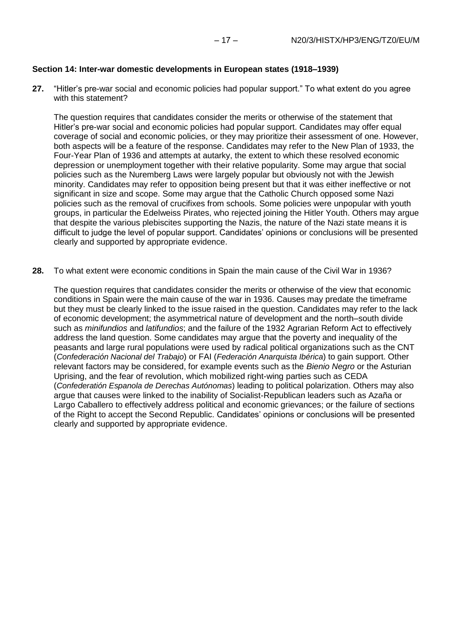#### **Section 14: Inter-war domestic developments in European states (1918–1939)**

**27.** "Hitler's pre-war social and economic policies had popular support." To what extent do you agree with this statement?

The question requires that candidates consider the merits or otherwise of the statement that Hitler's pre-war social and economic policies had popular support. Candidates may offer equal coverage of social and economic policies, or they may prioritize their assessment of one. However, both aspects will be a feature of the response. Candidates may refer to the New Plan of 1933, the Four-Year Plan of 1936 and attempts at autarky, the extent to which these resolved economic depression or unemployment together with their relative popularity. Some may argue that social policies such as the Nuremberg Laws were largely popular but obviously not with the Jewish minority. Candidates may refer to opposition being present but that it was either ineffective or not significant in size and scope. Some may argue that the Catholic Church opposed some Nazi policies such as the removal of crucifixes from schools. Some policies were unpopular with youth groups, in particular the Edelweiss Pirates, who rejected joining the Hitler Youth. Others may argue that despite the various plebiscites supporting the Nazis, the nature of the Nazi state means it is difficult to judge the level of popular support. Candidates' opinions or conclusions will be presented clearly and supported by appropriate evidence.

**28.** To what extent were economic conditions in Spain the main cause of the Civil War in 1936?

The question requires that candidates consider the merits or otherwise of the view that economic conditions in Spain were the main cause of the war in 1936. Causes may predate the timeframe but they must be clearly linked to the issue raised in the question. Candidates may refer to the lack of economic development; the asymmetrical nature of development and the north–south divide such as *minifundios* and *latifundios*; and the failure of the 1932 Agrarian Reform Act to effectively address the land question. Some candidates may argue that the poverty and inequality of the peasants and large rural populations were used by radical political organizations such as the CNT (*Confederación Nacional del Trabajo*) or FAI (*Federación Anarquista Ibérica*) to gain support. Other relevant factors may be considered, for example events such as the *Bienio Negro* or the Asturian Uprising, and the fear of revolution, which mobilized right-wing parties such as CEDA (*Confederatión Espanola de Derechas Autónomas*) leading to political polarization. Others may also argue that causes were linked to the inability of Socialist-Republican leaders such as Azaña or Largo Caballero to effectively address political and economic grievances; or the failure of sections of the Right to accept the Second Republic. Candidates' opinions or conclusions will be presented clearly and supported by appropriate evidence.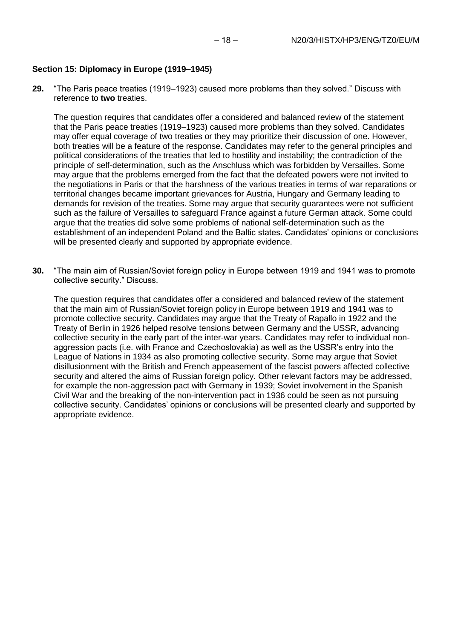## **Section 15: Diplomacy in Europe (1919–1945)**

**29.** "The Paris peace treaties (1919–1923) caused more problems than they solved." Discuss with reference to **two** treaties.

The question requires that candidates offer a considered and balanced review of the statement that the Paris peace treaties (1919–1923) caused more problems than they solved. Candidates may offer equal coverage of two treaties or they may prioritize their discussion of one. However, both treaties will be a feature of the response. Candidates may refer to the general principles and political considerations of the treaties that led to hostility and instability; the contradiction of the principle of self-determination, such as the Anschluss which was forbidden by Versailles. Some may argue that the problems emerged from the fact that the defeated powers were not invited to the negotiations in Paris or that the harshness of the various treaties in terms of war reparations or territorial changes became important grievances for Austria, Hungary and Germany leading to demands for revision of the treaties. Some may argue that security guarantees were not sufficient such as the failure of Versailles to safeguard France against a future German attack. Some could argue that the treaties did solve some problems of national self-determination such as the establishment of an independent Poland and the Baltic states. Candidates' opinions or conclusions will be presented clearly and supported by appropriate evidence.

**30.** "The main aim of Russian/Soviet foreign policy in Europe between 1919 and 1941 was to promote collective security." Discuss.

The question requires that candidates offer a considered and balanced review of the statement that the main aim of Russian/Soviet foreign policy in Europe between 1919 and 1941 was to promote collective security. Candidates may argue that the Treaty of Rapallo in 1922 and the Treaty of Berlin in 1926 helped resolve tensions between Germany and the USSR, advancing collective security in the early part of the inter-war years. Candidates may refer to individual nonaggression pacts (i.e. with France and Czechoslovakia) as well as the USSR's entry into the League of Nations in 1934 as also promoting collective security. Some may argue that Soviet disillusionment with the British and French appeasement of the fascist powers affected collective security and altered the aims of Russian foreign policy. Other relevant factors may be addressed, for example the non-aggression pact with Germany in 1939; Soviet involvement in the Spanish Civil War and the breaking of the non-intervention pact in 1936 could be seen as not pursuing collective security. Candidates' opinions or conclusions will be presented clearly and supported by appropriate evidence.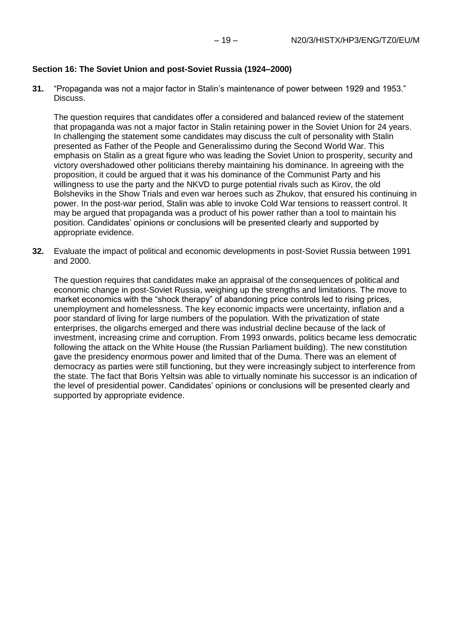## **Section 16: The Soviet Union and post-Soviet Russia (1924–2000)**

**31.** "Propaganda was not a major factor in Stalin's maintenance of power between 1929 and 1953." Discuss.

The question requires that candidates offer a considered and balanced review of the statement that propaganda was not a major factor in Stalin retaining power in the Soviet Union for 24 years. In challenging the statement some candidates may discuss the cult of personality with Stalin presented as Father of the People and Generalissimo during the Second World War. This emphasis on Stalin as a great figure who was leading the Soviet Union to prosperity, security and victory overshadowed other politicians thereby maintaining his dominance. In agreeing with the proposition, it could be argued that it was his dominance of the Communist Party and his willingness to use the party and the NKVD to purge potential rivals such as Kirov, the old Bolsheviks in the Show Trials and even war heroes such as Zhukov, that ensured his continuing in power. In the post-war period, Stalin was able to invoke Cold War tensions to reassert control. It may be argued that propaganda was a product of his power rather than a tool to maintain his position. Candidates' opinions or conclusions will be presented clearly and supported by appropriate evidence.

**32.** Evaluate the impact of political and economic developments in post-Soviet Russia between 1991 and 2000.

The question requires that candidates make an appraisal of the consequences of political and economic change in post-Soviet Russia, weighing up the strengths and limitations. The move to market economics with the "shock therapy" of abandoning price controls led to rising prices, unemployment and homelessness. The key economic impacts were uncertainty, inflation and a poor standard of living for large numbers of the population. With the privatization of state enterprises, the oligarchs emerged and there was industrial decline because of the lack of investment, increasing crime and corruption. From 1993 onwards, politics became less democratic following the attack on the White House (the Russian Parliament building). The new constitution gave the presidency enormous power and limited that of the Duma. There was an element of democracy as parties were still functioning, but they were increasingly subject to interference from the state. The fact that Boris Yeltsin was able to virtually nominate his successor is an indication of the level of presidential power. Candidates' opinions or conclusions will be presented clearly and supported by appropriate evidence.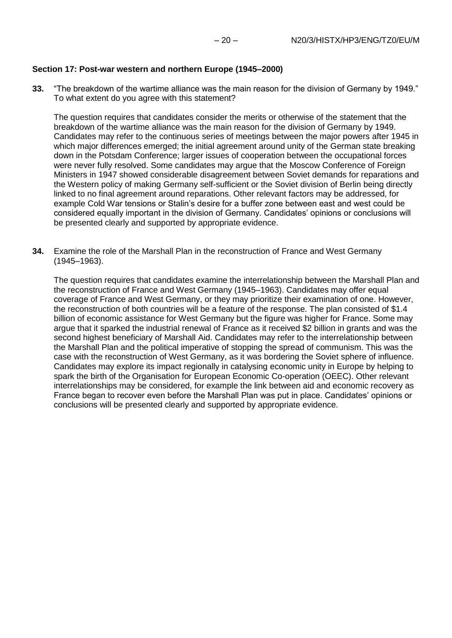### **Section 17: Post-war western and northern Europe (1945–2000)**

**33.** "The breakdown of the wartime alliance was the main reason for the division of Germany by 1949." To what extent do you agree with this statement?

The question requires that candidates consider the merits or otherwise of the statement that the breakdown of the wartime alliance was the main reason for the division of Germany by 1949. Candidates may refer to the continuous series of meetings between the major powers after 1945 in which major differences emerged; the initial agreement around unity of the German state breaking down in the Potsdam Conference; larger issues of cooperation between the occupational forces were never fully resolved. Some candidates may argue that the Moscow Conference of Foreign Ministers in 1947 showed considerable disagreement between Soviet demands for reparations and the Western policy of making Germany self-sufficient or the Soviet division of Berlin being directly linked to no final agreement around reparations. Other relevant factors may be addressed, for example Cold War tensions or Stalin's desire for a buffer zone between east and west could be considered equally important in the division of Germany. Candidates' opinions or conclusions will be presented clearly and supported by appropriate evidence.

**34.** Examine the role of the Marshall Plan in the reconstruction of France and West Germany (1945–1963).

The question requires that candidates examine the interrelationship between the Marshall Plan and the reconstruction of France and West Germany (1945–1963). Candidates may offer equal coverage of France and West Germany, or they may prioritize their examination of one. However, the reconstruction of both countries will be a feature of the response. The plan consisted of \$1.4 billion of economic assistance for West Germany but the figure was higher for France. Some may argue that it sparked the industrial renewal of France as it received \$2 billion in grants and was the second highest beneficiary of Marshall Aid. Candidates may refer to the interrelationship between the Marshall Plan and the political imperative of stopping the spread of communism. This was the case with the reconstruction of West Germany, as it was bordering the Soviet sphere of influence. Candidates may explore its impact regionally in catalysing economic unity in Europe by helping to spark the birth of the Organisation for European Economic Co-operation (OEEC). Other relevant interrelationships may be considered, for example the link between aid and economic recovery as France began to recover even before the Marshall Plan was put in place. Candidates' opinions or conclusions will be presented clearly and supported by appropriate evidence.